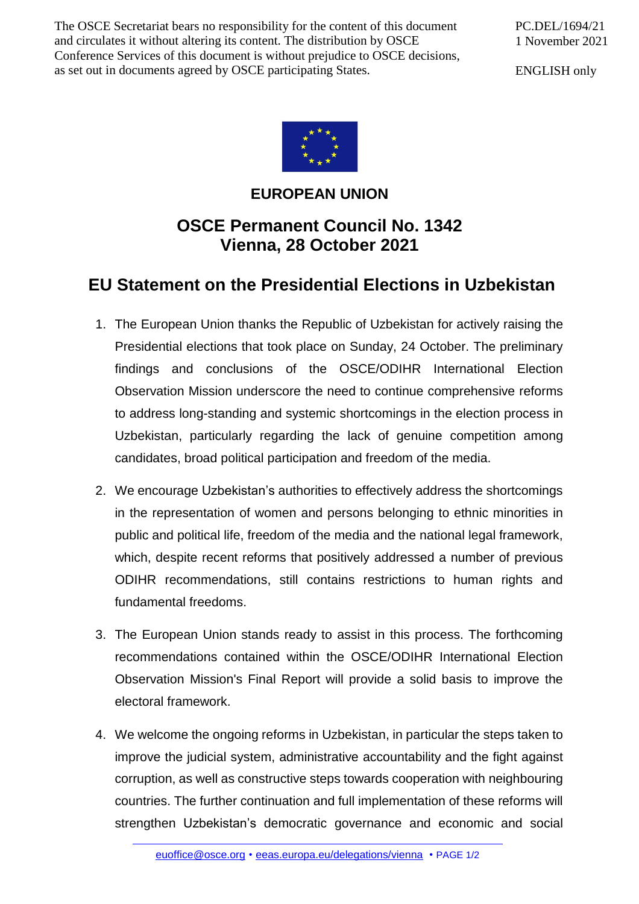The OSCE Secretariat bears no responsibility for the content of this document and circulates it without altering its content. The distribution by OSCE Conference Services of this document is without prejudice to OSCE decisions, as set out in documents agreed by OSCE participating States.

PC.DEL/1694/21 1 November 2021

ENGLISH only



## **EUROPEAN UNION**

## **OSCE Permanent Council No. 1342 Vienna, 28 October 2021**

## **EU Statement on the Presidential Elections in Uzbekistan**

- 1. The European Union thanks the Republic of Uzbekistan for actively raising the Presidential elections that took place on Sunday, 24 October. The preliminary findings and conclusions of the OSCE/ODIHR International Election Observation Mission underscore the need to continue comprehensive reforms to address long-standing and systemic shortcomings in the election process in Uzbekistan, particularly regarding the lack of genuine competition among candidates, broad political participation and freedom of the media.
- 2. We encourage Uzbekistan's authorities to effectively address the shortcomings in the representation of women and persons belonging to ethnic minorities in public and political life, freedom of the media and the national legal framework, which, despite recent reforms that positively addressed a number of previous ODIHR recommendations, still contains restrictions to human rights and fundamental freedoms.
- 3. The European Union stands ready to assist in this process. The forthcoming recommendations contained within the OSCE/ODIHR International Election Observation Mission's Final Report will provide a solid basis to improve the electoral framework.
- 4. We welcome the ongoing reforms in Uzbekistan, in particular the steps taken to improve the judicial system, administrative accountability and the fight against corruption, as well as constructive steps towards cooperation with neighbouring countries. The further continuation and full implementation of these reforms will strengthen Uzbekistan's democratic governance and economic and social